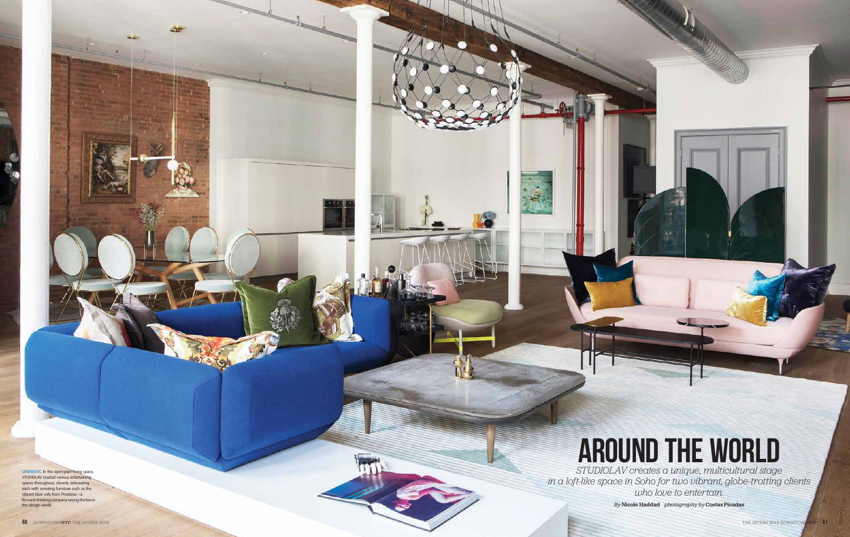CINEMATIC In the open-plan living space, STUDIOLAV created various entertaining spaces throughout, cleverly delineating each with arresting furniture such as the vibrant blue sofa from Prostoria—a forward-thinking company raising the bar in the design world.

雪

КT.

 $-1$ 

## AROUND THE WORLD

*STUDIOLAV creates a unique, multicultural stage in a loft-like space in Soho for two vibrant, globe-trotting clients who love to entertain.* 

*By* Nicole Haddad *photography by* Costas Picadas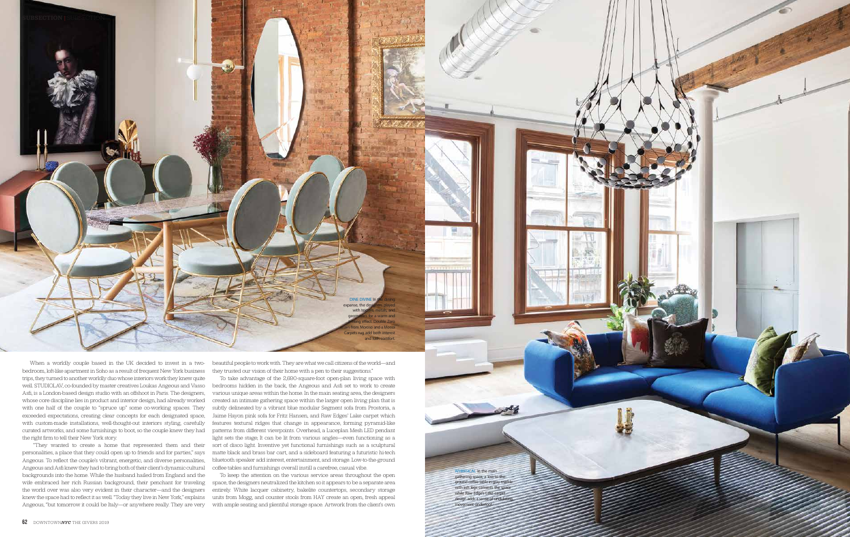

When a worldly couple based in the UK decided to invest in a twobedroom, loft-like apartment in Soho as a result of frequent New York business trips, they turned to another worldly duo whose interiors work they knew quite well. STUDIOLAV, co-founded by master creatives Loukas Angeous and Vasso Asfi, is a London-based design studio with an offshoot in Paris. The designers, whose core discipline lies in product and interior design, had already worked with one half of the couple to "spruce up" some co-working spaces. They exceeded expectations, creating clear concepts for each designated space, with custom-made installations, well-thought-out interiors styling, carefully curated artworks, and some furnishings to boot, so the couple knew they had patterns from different viewpoints. Overhead, a Luceplan Mesh LED pendant the right firm to tell their New York story.

beautiful people to work with. They are what we call citizens of the world—and they trusted our vision of their home with a pen to their suggestions."

DINE DIVINE In expanse, the de with

geometrics for a warm and inviting effect. Double Zero Moroso and a Mooo Carpets rug add both interest and lush comfort

 "They wanted to create a home that represented them and their personalities, a place that they could open up to friends and for parties," says Angeous. To reflect the couple's vibrant, energetic, and diverse personalities, Angeous and Asfi knew they had to bring both of their client's dynamic cultural backgrounds into the home. While the husband hailed from England and the wife embraced her rich Russian background, their penchant for traveling the world over was also very evident in their character—and the designers knew the space had to reflect it as well. "Today they live in New York," explains Angeous, "but tomorrow it could be Italy—or anywhere really. They are very with ample seating and plentiful storage space. Artwork from the client's own

To take advantage of the 2,690-square-foot open-plan living space with bedrooms hidden in the back, the Angeous and Asfi set to work to create various unique areas within the home. In the main seating area, the designers created an intimate gathering space within the larger open living plan that is subtly delineated by a vibrant blue modular Segment sofa from Prostoria, a Jaime Hayon pink sofa for Fritz Hansen, and Raw Edges' Lake carpet which features textural ridges that change in appearance, forming pyramid-like light sets the stage; It can be lit from various angles—even functioning as a sort of disco light. Inventive yet functional furnishings such as a sculptural matte black and brass bar cart, and a sideboard featuring a futuristic hi-tech bluetooth speaker add interest, entertainment, and storage. Low-to-the-ground coffee tables and furnishings overall instill a carefree, casual vibe.

To keep the attention on the various service areas throughout the open space, the designers neutralized the kitchen so it appears to be a separate area entirely. White lacquer cabinetry, bakelite countertops, secondary storage units from Mogg, and counter stools from HAY create an open, fresh appeal

WHIMSICAL In the main gathering space, a low-to-theground coffee table in gray marble with ash legs cements the space while Raw Edge's Lake carpet design adds a sense of undul nent underfoot.